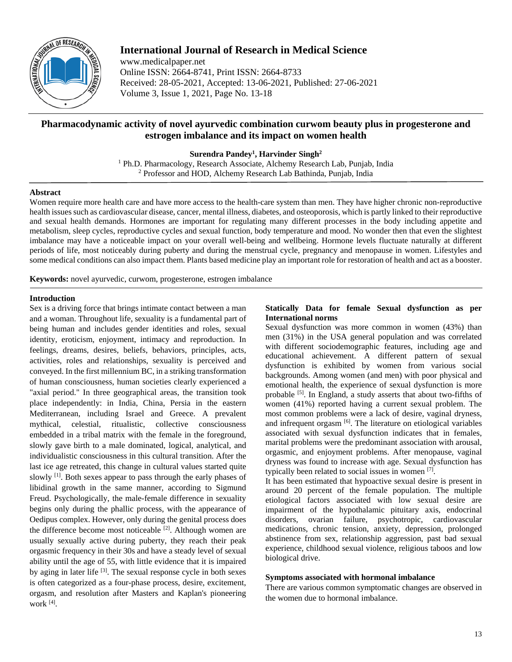

# **International Journal of Research in Medical Science**

www.medicalpaper.net Online ISSN: 2664-8741, Print ISSN: 2664-8733 Received: 28-05-2021, Accepted: 13-06-2021, Published: 27-06-2021 Volume 3, Issue 1, 2021, Page No. 13-18

# **Pharmacodynamic activity of novel ayurvedic combination curwom beauty plus in progesterone and estrogen imbalance and its impact on women health**

**Surendra Pandey1 , Harvinder Singh2**

<sup>1</sup> Ph.D. Pharmacology, Research Associate, Alchemy Research Lab, Punjab, India <sup>2</sup> Professor and HOD, Alchemy Research Lab Bathinda, Punjab, India

# **Abstract**

Women require more health care and have more access to the health-care system than men. They have higher chronic non-reproductive health issues such as cardiovascular disease, cancer, mental illness, diabetes, and osteoporosis, which is partly linked to their reproductive and sexual health demands. Hormones are important for regulating many different processes in the body including appetite and metabolism, sleep cycles, reproductive cycles and sexual function, body temperature and mood. No wonder then that even the slightest imbalance may have a noticeable impact on your overall well-being and wellbeing. Hormone levels fluctuate naturally at different periods of life, most noticeably during puberty and during the menstrual cycle, pregnancy and menopause in women. Lifestyles and some medical conditions can also impact them. Plants based medicine play an important role for restoration of health and act as a booster.

**Keywords:** novel ayurvedic, curwom, progesterone, estrogen imbalance

# **Introduction**

Sex is a driving force that brings intimate contact between a man and a woman. Throughout life, sexuality is a fundamental part of being human and includes gender identities and roles, sexual identity, eroticism, enjoyment, intimacy and reproduction. In feelings, dreams, desires, beliefs, behaviors, principles, acts, activities, roles and relationships, sexuality is perceived and conveyed. In the first millennium BC, in a striking transformation of human consciousness, human societies clearly experienced a "axial period." In three geographical areas, the transition took place independently: in India, China, Persia in the eastern Mediterranean, including Israel and Greece. A prevalent mythical, celestial, ritualistic, collective consciousness embedded in a tribal matrix with the female in the foreground, slowly gave birth to a male dominated, logical, analytical, and individualistic consciousness in this cultural transition. After the last ice age retreated, this change in cultural values started quite slowly [1]. Both sexes appear to pass through the early phases of libidinal growth in the same manner, according to Sigmund Freud. Psychologically, the male-female difference in sexuality begins only during the phallic process, with the appearance of Oedipus complex. However, only during the genital process does the difference become most noticeable <sup>[2]</sup>. Although women are usually sexually active during puberty, they reach their peak orgasmic frequency in their 30s and have a steady level of sexual ability until the age of 55, with little evidence that it is impaired by aging in later life <sup>[3]</sup>. The sexual response cycle in both sexes is often categorized as a four-phase process, desire, excitement, orgasm, and resolution after Masters and Kaplan's pioneering work [4] .

# **Statically Data for female Sexual dysfunction as per International norms**

Sexual dysfunction was more common in women (43%) than men (31%) in the USA general population and was correlated with different sociodemographic features, including age and educational achievement. A different pattern of sexual dysfunction is exhibited by women from various social backgrounds. Among women (and men) with poor physical and emotional health, the experience of sexual dysfunction is more probable <sup>[5]</sup>. In England, a study asserts that about two-fifths of women (41%) reported having a current sexual problem. The most common problems were a lack of desire, vaginal dryness, and infrequent orgasm [6]. The literature on etiological variables associated with sexual dysfunction indicates that in females, marital problems were the predominant association with arousal, orgasmic, and enjoyment problems. After menopause, vaginal dryness was found to increase with age. Sexual dysfunction has typically been related to social issues in women [7].

It has been estimated that hypoactive sexual desire is present in around 20 percent of the female population. The multiple etiological factors associated with low sexual desire are impairment of the hypothalamic pituitary axis, endocrinal disorders, ovarian failure, psychotropic, cardiovascular medications, chronic tension, anxiety, depression, prolonged abstinence from sex, relationship aggression, past bad sexual experience, childhood sexual violence, religious taboos and low biological drive.

# **Symptoms associated with hormonal imbalance**

There are various common symptomatic changes are observed in the women due to hormonal imbalance.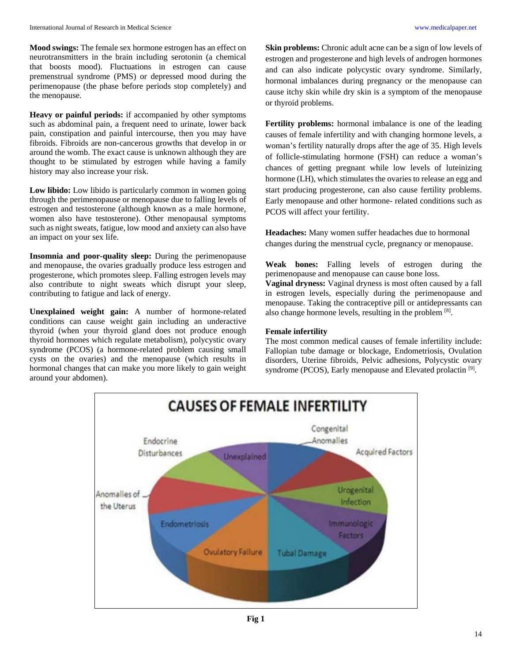**Mood swings:** The female sex hormone estrogen has an effect on neurotransmitters in the brain including serotonin (a chemical that boosts mood). Fluctuations in estrogen can cause premenstrual syndrome (PMS) or depressed mood during the perimenopause (the phase before periods stop completely) and the menopause.

**Heavy or painful periods:** if accompanied by other symptoms such as abdominal pain, a frequent need to urinate, lower back pain, constipation and painful intercourse, then you may have fibroids. Fibroids are non-cancerous growths that develop in or around the womb. The exact cause is unknown although they are thought to be stimulated by estrogen while having a family history may also increase your risk.

Low libido: Low libido is particularly common in women going through the perimenopause or menopause due to falling levels of estrogen and testosterone (although known as a male hormone, women also have testosterone). Other menopausal symptoms such as night sweats, fatigue, low mood and anxiety can also have an impact on your sex life.

**Insomnia and poor-quality sleep:** During the perimenopause and menopause, the ovaries gradually produce less estrogen and progesterone, which promotes sleep. Falling estrogen levels may also contribute to night sweats which disrupt your sleep, contributing to fatigue and lack of energy.

**Unexplained weight gain:** A number of hormone-related conditions can cause weight gain including an underactive thyroid (when your thyroid gland does not produce enough thyroid hormones which regulate metabolism), polycystic ovary syndrome (PCOS) (a hormone-related problem causing small cysts on the ovaries) and the menopause (which results in hormonal changes that can make you more likely to gain weight around your abdomen).

**Skin problems:** Chronic adult acne can be a sign of low levels of estrogen and progesterone and high levels of androgen hormones and can also indicate polycystic ovary syndrome. Similarly, hormonal imbalances during pregnancy or the menopause can cause itchy skin while dry skin is a symptom of the menopause or thyroid problems.

**Fertility problems:** hormonal imbalance is one of the leading causes of female infertility and with changing hormone levels, a woman's fertility naturally drops after the age of 35. High levels of follicle-stimulating hormone (FSH) can reduce a woman's chances of getting pregnant while low levels of luteinizing hormone (LH), which stimulates the ovaries to release an egg and start producing progesterone, can also cause fertility problems. Early menopause and other hormone- related conditions such as PCOS will affect your fertility.

**Headaches:** Many women suffer headaches due to hormonal changes during the menstrual cycle, pregnancy or menopause.

**Weak bones:** Falling levels of estrogen during the perimenopause and menopause can cause bone loss. **Vaginal dryness:** Vaginal dryness is most often caused by a fall in estrogen levels, especially during the perimenopause and menopause. Taking the contraceptive pill or antidepressants can also change hormone levels, resulting in the problem [8].

# **Female infertility**

The most common medical causes of female infertility include: Fallopian tube damage or blockage, Endometriosis, Ovulation disorders, Uterine fibroids, Pelvic adhesions, Polycystic ovary syndrome (PCOS), Early menopause and Elevated prolactin<sup>[9]</sup>.

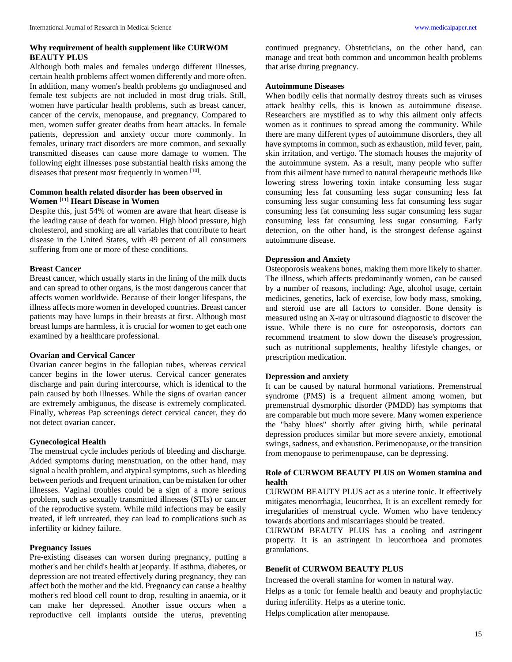# **Why requirement of health supplement like CURWOM BEAUTY PLUS**

Although both males and females undergo different illnesses, certain health problems affect women differently and more often. In addition, many women's health problems go undiagnosed and female test subjects are not included in most drug trials. Still, women have particular health problems, such as breast cancer, cancer of the cervix, menopause, and pregnancy. Compared to men, women suffer greater deaths from heart attacks. In female patients, depression and anxiety occur more commonly. In females, urinary tract disorders are more common, and sexually transmitted diseases can cause more damage to women. The following eight illnesses pose substantial health risks among the diseases that present most frequently in women [10].

# **Common health related disorder has been observed in Women [11] Heart Disease in Women**

Despite this, just 54% of women are aware that heart disease is the leading cause of death for women. High blood pressure, high cholesterol, and smoking are all variables that contribute to heart disease in the United States, with 49 percent of all consumers suffering from one or more of these conditions.

#### **Breast Cancer**

Breast cancer, which usually starts in the lining of the milk ducts and can spread to other organs, is the most dangerous cancer that affects women worldwide. Because of their longer lifespans, the illness affects more women in developed countries. Breast cancer patients may have lumps in their breasts at first. Although most breast lumps are harmless, it is crucial for women to get each one examined by a healthcare professional.

## **Ovarian and Cervical Cancer**

Ovarian cancer begins in the fallopian tubes, whereas cervical cancer begins in the lower uterus. Cervical cancer generates discharge and pain during intercourse, which is identical to the pain caused by both illnesses. While the signs of ovarian cancer are extremely ambiguous, the disease is extremely complicated. Finally, whereas Pap screenings detect cervical cancer, they do not detect ovarian cancer.

## **Gynecological Health**

The menstrual cycle includes periods of bleeding and discharge. Added symptoms during menstruation, on the other hand, may signal a health problem, and atypical symptoms, such as bleeding between periods and frequent urination, can be mistaken for other illnesses. Vaginal troubles could be a sign of a more serious problem, such as sexually transmitted illnesses (STIs) or cancer of the reproductive system. While mild infections may be easily treated, if left untreated, they can lead to complications such as infertility or kidney failure.

### **Pregnancy Issues**

Pre-existing diseases can worsen during pregnancy, putting a mother's and her child's health at jeopardy. If asthma, diabetes, or depression are not treated effectively during pregnancy, they can affect both the mother and the kid. Pregnancy can cause a healthy mother's red blood cell count to drop, resulting in anaemia, or it can make her depressed. Another issue occurs when a reproductive cell implants outside the uterus, preventing

continued pregnancy. Obstetricians, on the other hand, can manage and treat both common and uncommon health problems that arise during pregnancy.

### **Autoimmune Diseases**

When bodily cells that normally destroy threats such as viruses attack healthy cells, this is known as autoimmune disease. Researchers are mystified as to why this ailment only affects women as it continues to spread among the community. While there are many different types of autoimmune disorders, they all have symptoms in common, such as exhaustion, mild fever, pain, skin irritation, and vertigo. The stomach houses the majority of the autoimmune system. As a result, many people who suffer from this ailment have turned to natural therapeutic methods like lowering stress lowering toxin intake consuming less sugar consuming less fat consuming less sugar consuming less fat consuming less sugar consuming less fat consuming less sugar consuming less fat consuming less sugar consuming less sugar consuming less fat consuming less sugar consuming. Early detection, on the other hand, is the strongest defense against autoimmune disease.

## **Depression and Anxiety**

Osteoporosis weakens bones, making them more likely to shatter. The illness, which affects predominantly women, can be caused by a number of reasons, including: Age, alcohol usage, certain medicines, genetics, lack of exercise, low body mass, smoking, and steroid use are all factors to consider. Bone density is measured using an X-ray or ultrasound diagnostic to discover the issue. While there is no cure for osteoporosis, doctors can recommend treatment to slow down the disease's progression, such as nutritional supplements, healthy lifestyle changes, or prescription medication.

# **Depression and anxiety**

It can be caused by natural hormonal variations. Premenstrual syndrome (PMS) is a frequent ailment among women, but premenstrual dysmorphic disorder (PMDD) has symptoms that are comparable but much more severe. Many women experience the "baby blues" shortly after giving birth, while perinatal depression produces similar but more severe anxiety, emotional swings, sadness, and exhaustion. Perimenopause, or the transition from menopause to perimenopause, can be depressing.

# **Role of CURWOM BEAUTY PLUS on Women stamina and health**

CURWOM BEAUTY PLUS act as a uterine tonic. It effectively mitigates menorrhagia, leucorrhea, It is an excellent remedy for irregularities of menstrual cycle. Women who have tendency towards abortions and miscarriages should be treated.

CURWOM BEAUTY PLUS has a cooling and astringent property. It is an astringent in leucorrhoea and promotes granulations.

### **Benefit of CURWOM BEAUTY PLUS**

Increased the overall stamina for women in natural way.

Helps as a tonic for female health and beauty and prophylactic during infertility. Helps as a uterine tonic.

Helps complication after menopause.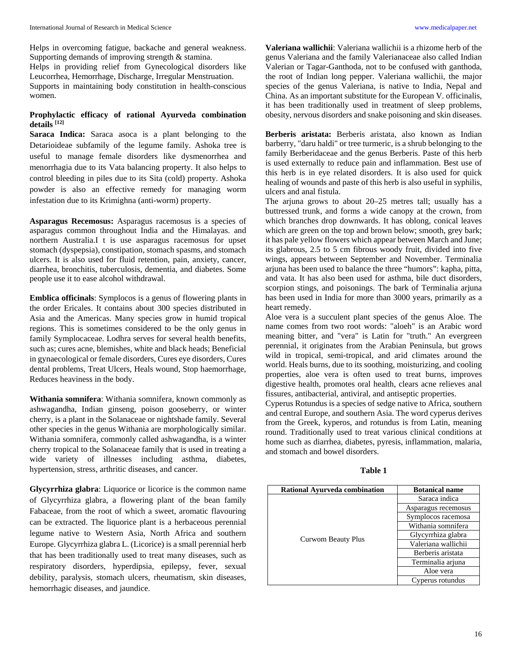Helps in overcoming fatigue, backache and general weakness. Supporting demands of improving strength & stamina.

Helps in providing relief from Gynecological disorders like Leucorrhea, Hemorrhage, Discharge, Irregular Menstruation.

Supports in maintaining body constitution in health-conscious women.

# **Prophylactic efficacy of rational Ayurveda combination details [12]**

**Saraca Indica:** Saraca asoca is a plant belonging to the Detarioideae subfamily of the legume family. Ashoka tree is useful to manage female disorders like dysmenorrhea and menorrhagia due to its Vata balancing property. It also helps to control bleeding in piles due to its Sita (cold) property. Ashoka powder is also an effective remedy for managing worm infestation due to its Krimighna (anti-worm) property.

**Asparagus Recemosus:** Asparagus racemosus is a species of asparagus common throughout India and the Himalayas. and northern Australia.I t is use asparagus racemosus for upset stomach (dyspepsia), constipation, stomach spasms, and stomach ulcers. It is also used for fluid retention, pain, anxiety, cancer, diarrhea, bronchitis, tuberculosis, dementia, and diabetes. Some people use it to ease alcohol withdrawal.

**Emblica officinals**: Symplocos is a genus of flowering plants in the order Ericales. It contains about 300 species distributed in Asia and the Americas. Many species grow in humid tropical regions. This is sometimes considered to be the only genus in family Symplocaceae. Lodhra serves for several health benefits, such as; cures acne, blemishes, white and black heads; Beneficial in gynaecological or female disorders, Cures eye disorders, Cures dental problems, Treat Ulcers, Heals wound, Stop haemorrhage, Reduces heaviness in the body.

**Withania somnifera**: Withania somnifera, known commonly as ashwagandha, Indian ginseng, poison gooseberry, or winter cherry, is a plant in the Solanaceae or nightshade family. Several other species in the genus Withania are morphologically similar. Withania somnifera, commonly called ashwagandha, is a winter cherry tropical to the Solanaceae family that is used in treating a wide variety of illnesses including asthma, diabetes, hypertension, stress, arthritic diseases, and cancer.

**Glycyrrhiza glabra**: Liquorice or licorice is the common name of Glycyrrhiza glabra, a flowering plant of the bean family Fabaceae, from the root of which a sweet, aromatic flavouring can be extracted. The liquorice plant is a herbaceous perennial legume native to Western Asia, North Africa and southern Europe. Glycyrrhiza glabra L. (Licorice) is a small perennial herb that has been traditionally used to treat many diseases, such as respiratory disorders, hyperdipsia, epilepsy, fever, sexual debility, paralysis, stomach ulcers, rheumatism, skin diseases, hemorrhagic diseases, and jaundice.

**Valeriana wallichii**: Valeriana wallichii is a rhizome herb of the genus Valeriana and the family Valerianaceae also called Indian Valerian or Tagar-Ganthoda, not to be confused with ganthoda, the root of Indian long pepper. Valeriana wallichii, the major species of the genus Valeriana, is native to India, Nepal and China. As an important substitute for the European V. officinalis, it has been traditionally used in treatment of sleep problems, obesity, nervous disorders and snake poisoning and skin diseases.

**Berberis aristata:** Berberis aristata, also known as Indian barberry, "daru haldi" or tree turmeric, is a shrub belonging to the family Berberidaceae and the genus Berberis. Paste of this herb is used externally to reduce pain and inflammation. Best use of this herb is in eye related disorders. It is also used for quick healing of wounds and paste of this herb is also useful in syphilis, ulcers and anal fistula.

The arjuna grows to about 20–25 metres tall; usually has a buttressed trunk, and forms a wide canopy at the crown, from which branches drop downwards. It has oblong, conical leaves which are green on the top and brown below; smooth, grey bark; it has pale yellow flowers which appear between March and June; its glabrous, 2.5 to 5 cm fibrous woody fruit, divided into five wings, appears between September and November. Terminalia arjuna has been used to balance the three "humors": kapha, pitta, and vata. It has also been used for asthma, bile duct disorders, scorpion stings, and poisonings. The bark of Terminalia arjuna has been used in India for more than 3000 years, primarily as a heart remedy.

Aloe vera is a succulent plant species of the genus Aloe. The name comes from two root words: "aloeh" is an Arabic word meaning bitter, and "vera" is Latin for "truth." An evergreen perennial, it originates from the Arabian Peninsula, but grows wild in tropical, semi-tropical, and arid climates around the world. Heals burns, due to its soothing, moisturizing, and cooling properties, aloe vera is often used to treat burns, improves digestive health, promotes oral health, clears acne relieves anal fissures, antibacterial, antiviral, and antiseptic properties.

Cyperus Rotundus is a species of sedge native to Africa, southern and central Europe, and southern Asia. The word cyperus derives from the Greek, kyperos, and rotundus is from Latin, meaning round. Traditionally used to treat various clinical conditions at home such as diarrhea, diabetes, pyresis, inflammation, malaria, and stomach and bowel disorders.

| n |  |
|---|--|
|---|--|

| <b>Rational Ayurveda combination</b> | <b>Botanical name</b> |
|--------------------------------------|-----------------------|
| Curwom Beauty Plus                   | Saraca indica         |
|                                      | Asparagus recemosus   |
|                                      | Symplocos racemosa    |
|                                      | Withania somnifera    |
|                                      | Glycyrrhiza glabra    |
|                                      | Valeriana wallichii   |
|                                      | Berberis aristata     |
|                                      | Terminalia arjuna     |
|                                      | Aloe vera             |
|                                      | Cyperus rotundus      |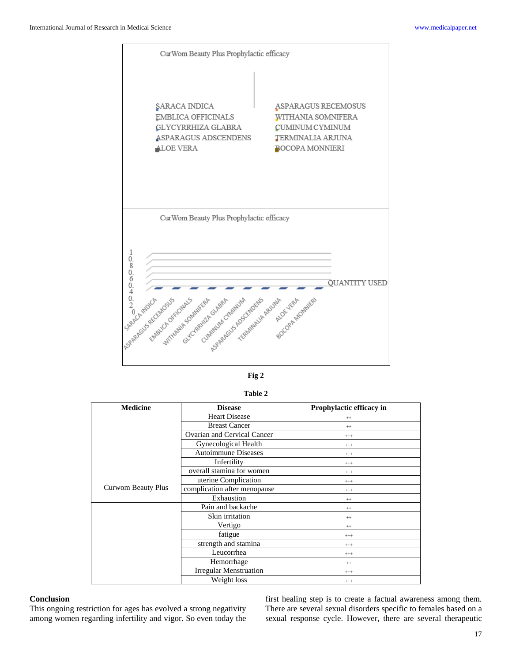

| ۰, |  |
|----|--|
|----|--|

| able |  |
|------|--|
|------|--|

| <b>Medicine</b>    | <b>Disease</b>                | Prophylactic efficacy in |
|--------------------|-------------------------------|--------------------------|
| Curwom Beauty Plus | <b>Heart Disease</b>          | $^{++}$                  |
|                    | <b>Breast Cancer</b>          | $++$                     |
|                    | Ovarian and Cervical Cancer   | $^{+++}$                 |
|                    | Gynecological Health          | $^{+++}$                 |
|                    | <b>Autoimmune Diseases</b>    | $^{+++}$                 |
|                    | Infertility                   | $^{+++}$                 |
|                    | overall stamina for women     | $^{+++}$                 |
|                    | uterine Complication          | $^{+++}$                 |
|                    | complication after menopause  | $^{+++}$                 |
|                    | Exhaustion                    | $++$                     |
|                    | Pain and backache             | $^{++}$                  |
|                    | Skin irritation               | $++$                     |
|                    | Vertigo                       | $++$                     |
|                    | fatigue                       | $^{+++}$                 |
|                    | strength and stamina          | $^{+++}$                 |
|                    | Leucorrhea                    | $^{+++}$                 |
|                    | Hemorrhage                    | $++$                     |
|                    | <b>Irregular Menstruation</b> | $^{+++}$                 |
|                    | Weight loss                   | $^{+++}$                 |

## **Conclusion**

This ongoing restriction for ages has evolved a strong negativity among women regarding infertility and vigor. So even today the first healing step is to create a factual awareness among them. There are several sexual disorders specific to females based on a sexual response cycle. However, there are several therapeutic